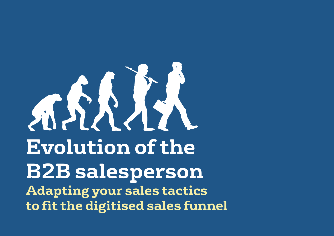# **Evolution of the B2B salesperson Adapting your sales tactics**  Measuring Success... **to fit the digitised sales funnel**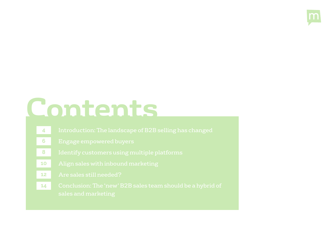

# **Contents**

- 
- 
- 
- 
- 
-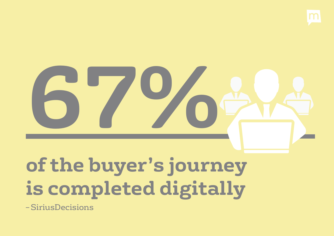

# **67%**

## **of the buyer's journey is completed digitally**

– SiriusDecisions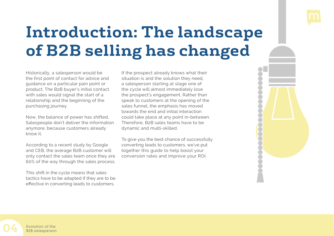

## <span id="page-3-0"></span>**Introduction: The landscape of B2B selling has changed**

Historically, a salesperson would be the first point of contact for advice and guidance on a particular pain point or product. The B2B buyer's initial contact with sales would signal the start of a relationship and the beginning of the purchasing journey.

Now, the balance of power has shifted. Salespeople don't deliver the information anymore, because customers already know it.

According to a recent study by Google and CEB, the average B2B customer will only contact the sales team once they are 60% of the way through the sales process.

This shift in the cycle means that sales tactics have to be adapted if they are to be effective in converting leads to customers.

If the prospect already knows what their situation is and the solution they need, a salesperson starting at stage one of the cycle will almost immediately lose the prospect's engagement. Rather than speak to customers at the opening of the sales funnel, the emphasis has moved towards the end and initial interaction could take place at any point in-between. Therefore, B2B sales teams have to be dynamic and multi-skilled.

To give you the best chance of successfully converting leads to customers, we've put together this guide to help boost your conversion rates and improve your ROI.

Evolution of the **04** B2B salesperson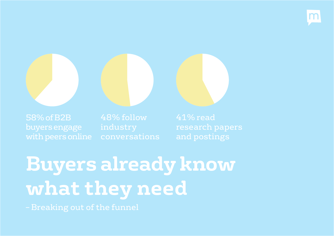



buyers engage

**Buyers already know what they need**

– Breaking out of the funnel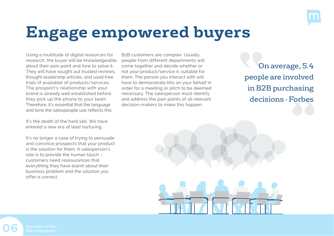

## <span id="page-5-0"></span>**Engage empowered buyers**

Using a multitude of digital resources for research, the buyer will be knowledgeable about their pain point and how to solve it. They will have sought out trusted reviews, thought leadership articles, and used free trials (if available) of products/services. The prospect's relationship with your brand is already well established before they pick up the phone to your team. Therefore, it's essential that the language and tone the salespeople use reflects this.

It's the death of the hard sell. We have entered a new era of lead nurturing.

It's no longer a case of trying to persuade and convince prospects that your product is the solution for them. A salesperson's role is to provide the human touch – customers need reassurances that everything they have learnt about their business problem and the solution you offer is correct.

B2B customers are complex. Usually, people from different departments will come together and decide whether or not your product/service is suitable for them. The person you interact with will have to demonstrate this on your behalf in order for a meeting or pitch to be deemed necessary. The salesperson must identify and address the pain points of all relevant decision-makers to make this happen.

On average, 5.4 people are involved in B2B purchasing decisions - Forbes



**06**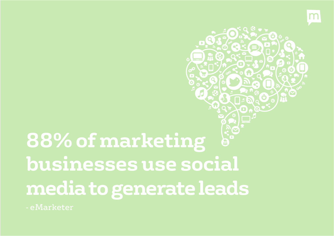

# **88% of marketing businesses use social media to generate leads**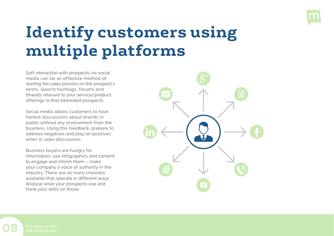

## <span id="page-7-0"></span>**Identify customers using multiple platforms**

Soft interaction with prospects via social media can be an effective method of starting the sales process on the prospect's terms. Search hashtags, forums and threads relevant to your service/product offerings to find interested prospects.

Social media allows customers to have honest discussions about brands in public without any involvement from the business. Using this feedback, prepare to address negatives and play on positives when in sales discussions.

Business buyers are hungry for information; use infographics and content to engage and inform them – make your company a voice of authority in the industry. There are so many channels available that operate in different ways. Analyse what your prospects use and hone your skills on those.



**08**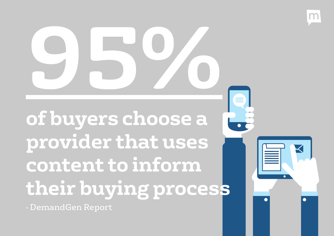**of buyers choose a provider that uses content to inform their buying process 95%**

 $\mathsf{M}$ 

- DemandGen Report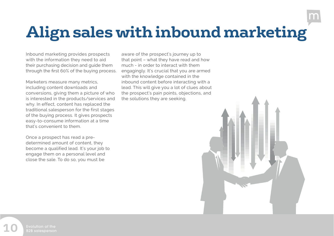## <span id="page-9-0"></span>**Align sales with inbound marketing**

Inbound marketing provides prospects with the information they need to aid their purchasing decision and guide them through the first 60% of the buying process.

Marketers measure many metrics, including content downloads and conversions, giving them a picture of who is interested in the products/services and why. In effect, content has replaced the traditional salesperson for the first stages of the buying process. It gives prospects easy-to-consume information at a time that's convenient to them.

Once a prospect has read a predetermined amount of content, they become a qualified lead. It's your job to engage them on a personal level and close the sale. To do so, you must be

aware of the prospect's journey up to that point – what they have read and how much - in order to interact with them engagingly. It's crucial that you are armed with the knowledge contained in the inbound content before interacting with a lead. This will give you a lot of clues about the prospect's pain points, objections, and the solutions they are seeking.

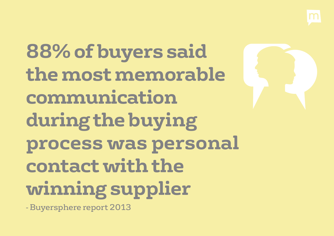**88% of buyers said the most memorable communication during the buying process was personal contact with the winning supplier**

- Buyersphere report 2013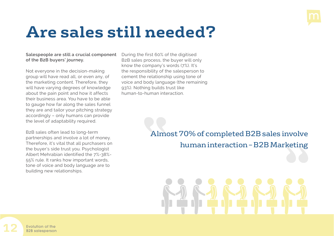

#### <span id="page-11-0"></span>**Are sales still needed?**

#### **Salespeople are still a crucial component of the B2B buyers' journey.**

Not everyone in the decision-making group will have read all, or even any, of the marketing content. Therefore, they will have varying degrees of knowledge about the pain point and how it affects their business area. You have to be able to gauge how far along the sales funnel they are and tailor your pitching strategy accordingly – only humans can provide the level of adaptability required.

B2B sales often lead to long-term partnerships and involve a lot of money. Therefore, it's vital that all purchasers on the buyer's side trust you. Psychologist Albert Mehrabian identified the 7%-38%- 55% rule. It ranks how important words, tone of voice and body language are to building new relationships.

During the first 60% of the digitised B2B sales process, the buyer will only know the company's words (7%). It's the responsibility of the salesperson to cement the relationship using tone of voice and body language (the remaining 93%). Nothing builds trust like human-to-human interaction.

#### Almost 70% of completed B2B sales involve human interaction – B2B Marketing

**12** Evolution of the B2B salesperson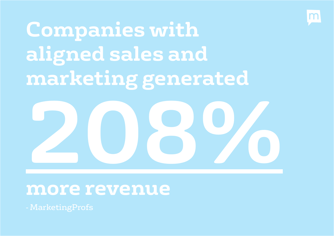

**Companies with aligned sales and marketing generated**



#### **more revenue**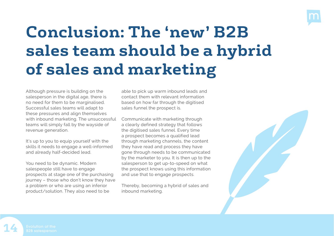

## <span id="page-13-0"></span>**Conclusion: The 'new' B2B sales team should be a hybrid of sales and marketing**

Although pressure is building on the salesperson in the digital age, there is no need for them to be marginalised. Successful sales teams will adapt to these pressures and align themselves with inbound marketing. The unsuccessful teams will simply fall by the wayside of revenue generation.

It's up to you to equip yourself with the skills it needs to engage a well-informed and already half-decided lead.

You need to be dynamic. Modern salespeople still have to engage prospects at stage one of the purchasing journey – those who don't know they have a problem or who are using an inferior product/solution. They also need to be

able to pick up warm inbound leads and contact them with relevant information based on how far through the digitised sales funnel the prospect is.

Communicate with marketing through a clearly defined strategy that follows the digitised sales funnel. Every time a prospect becomes a qualified lead through marketing channels, the content they have read and process they have gone through needs to be communicated by the marketer to you. It is then up to the salesperson to get up-to-speed on what the prospect knows using this information and use that to engage prospects.

Thereby, becoming a hybrid of sales and inbound marketing.



**14**